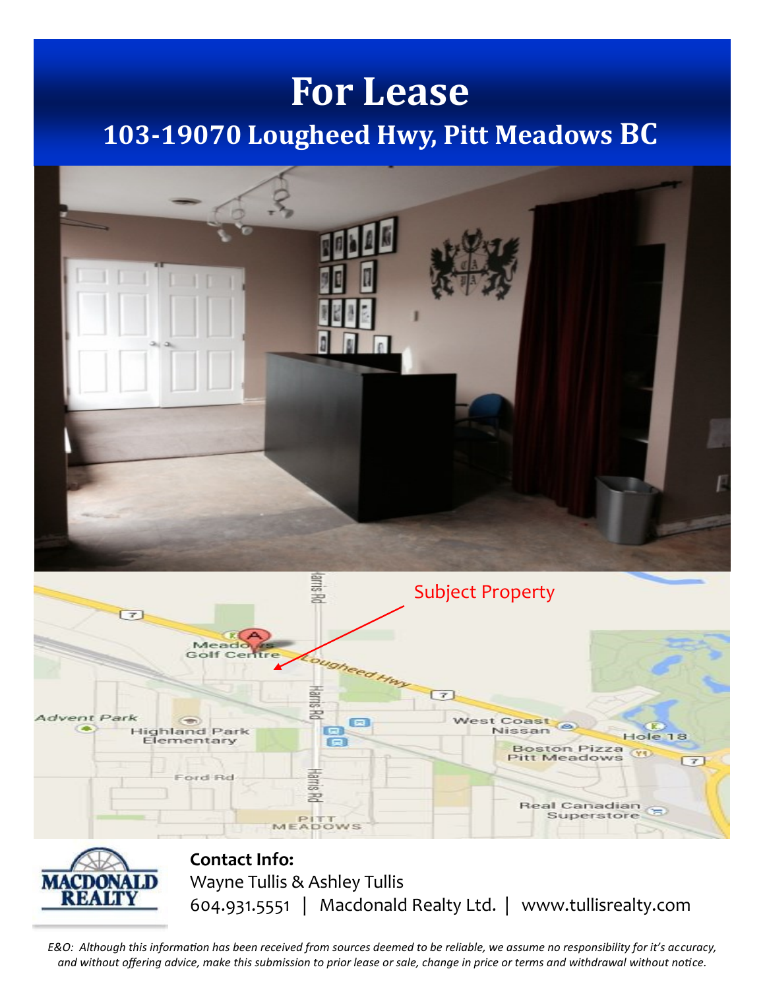## **For Lease 103-19070 Lougheed Hwy, Pitt Meadows BC**







**Contact Info:** Wayne Tullis & Ashley Tullis 604.931.5551 | Macdonald Realty Ltd. | www.tullisrealty.com

*E&O: Although this information has been received from sources deemed to be reliable, we assume no responsibility for it's accuracy, and without offering advice, make this submission to prior lease or sale, change in price or terms and withdrawal without notice.*